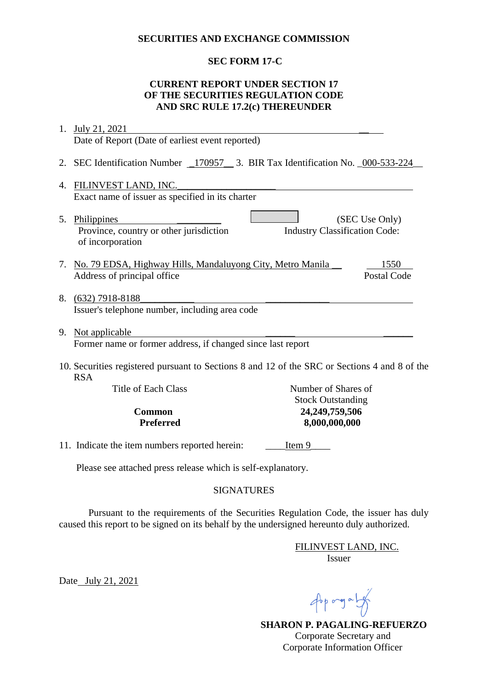#### **SECURITIES AND EXCHANGE COMMISSION**

# **SEC FORM 17-C**

# **CURRENT REPORT UNDER SECTION 17 OF THE SECURITIES REGULATION CODE AND SRC RULE 17.2(c) THEREUNDER**

|                                                                                                             | 1. July 21, 2021                                                                  |                                                        |
|-------------------------------------------------------------------------------------------------------------|-----------------------------------------------------------------------------------|--------------------------------------------------------|
|                                                                                                             | Date of Report (Date of earliest event reported)                                  |                                                        |
|                                                                                                             | 2. SEC Identification Number _170957__ 3. BIR Tax Identification No. _000-533-224 |                                                        |
| 4.                                                                                                          | FILINVEST LAND, INC.                                                              |                                                        |
|                                                                                                             | Exact name of issuer as specified in its charter                                  |                                                        |
| 5.                                                                                                          | Philippines<br>Province, country or other jurisdiction<br>of incorporation        | (SEC Use Only)<br><b>Industry Classification Code:</b> |
|                                                                                                             | 7. No. 79 EDSA, Highway Hills, Mandaluyong City, Metro Manila                     | 1550                                                   |
|                                                                                                             | Address of principal office                                                       | Postal Code                                            |
|                                                                                                             | 8. (632) 7918-8188<br>Issuer's telephone number, including area code              |                                                        |
|                                                                                                             | 9. Not applicable                                                                 |                                                        |
|                                                                                                             | Former name or former address, if changed since last report                       |                                                        |
| 10. Securities registered pursuant to Sections 8 and 12 of the SRC or Sections 4 and 8 of the<br><b>RSA</b> |                                                                                   |                                                        |
|                                                                                                             | <b>Title of Each Class</b>                                                        | Number of Shares of                                    |
|                                                                                                             |                                                                                   | <b>Stock Outstanding</b>                               |
|                                                                                                             | <b>Common</b>                                                                     | 24,249,759,506                                         |
|                                                                                                             | <b>Preferred</b>                                                                  | 8,000,000,000                                          |
|                                                                                                             | 11. Indicate the item numbers reported herein:                                    | Item 9                                                 |
|                                                                                                             | Please see attached press release which is self-explanatory.                      |                                                        |

### SIGNATURES

Pursuant to the requirements of the Securities Regulation Code, the issuer has duly caused this report to be signed on its behalf by the undersigned hereunto duly authorized.

> FILINVEST LAND, INC. Issuer

Date July 21, 2021

 $46p$  ang a  $14p$ 

 **SHARON P. PAGALING-REFUERZO** Corporate Secretary and Corporate Information Officer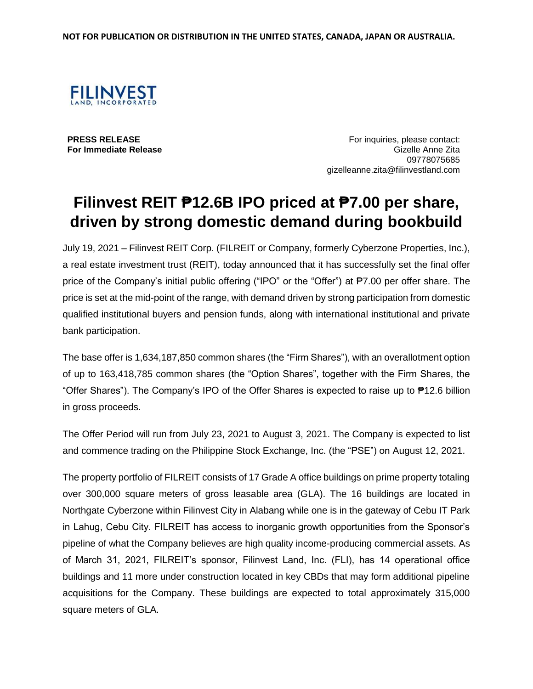

**PRESS RELEASE For Immediate Release**

For inquiries, please contact: Gizelle Anne Zita 09778075685 gizelleanne.zita@filinvestland.com

# **Filinvest REIT ₱12.6B IPO priced at ₱7.00 per share, driven by strong domestic demand during bookbuild**

July 19, 2021 – Filinvest REIT Corp. (FILREIT or Company, formerly Cyberzone Properties, Inc.), a real estate investment trust (REIT), today announced that it has successfully set the final offer price of the Company's initial public offering ("IPO" or the "Offer") at ₱7.00 per offer share. The price is set at the mid-point of the range, with demand driven by strong participation from domestic qualified institutional buyers and pension funds, along with international institutional and private bank participation.

The base offer is 1,634,187,850 common shares (the "Firm Shares"), with an overallotment option of up to 163,418,785 common shares (the "Option Shares", together with the Firm Shares, the "Offer Shares"). The Company's IPO of the Offer Shares is expected to raise up to ₱12.6 billion in gross proceeds.

The Offer Period will run from July 23, 2021 to August 3, 2021. The Company is expected to list and commence trading on the Philippine Stock Exchange, Inc. (the "PSE") on August 12, 2021.

The property portfolio of FILREIT consists of 17 Grade A office buildings on prime property totaling over 300,000 square meters of gross leasable area (GLA). The 16 buildings are located in Northgate Cyberzone within Filinvest City in Alabang while one is in the gateway of Cebu IT Park in Lahug, Cebu City. FILREIT has access to inorganic growth opportunities from the Sponsor's pipeline of what the Company believes are high quality income-producing commercial assets. As of March 31, 2021, FILREIT's sponsor, Filinvest Land, Inc. (FLI), has 14 operational office buildings and 11 more under construction located in key CBDs that may form additional pipeline acquisitions for the Company. These buildings are expected to total approximately 315,000 square meters of GLA.